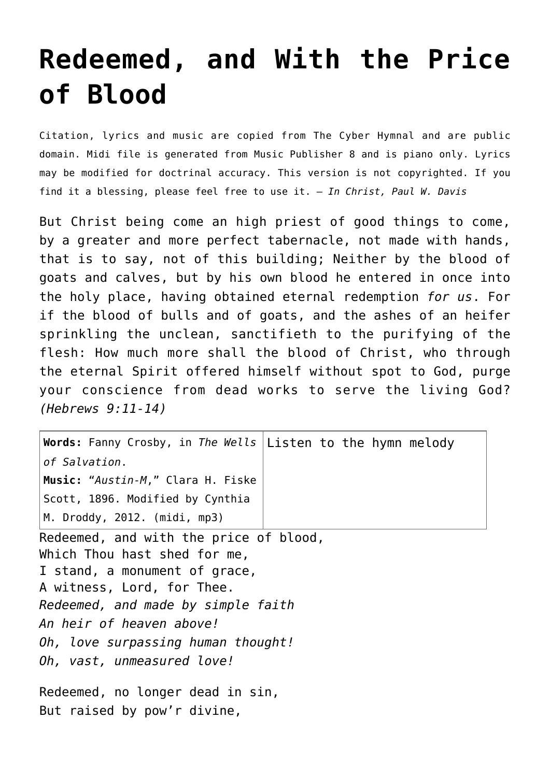## **[Redeemed, and With the Price](http://reproachofmen.org/hymns-and-music/redeemed-and-with-the-price-of-blood/) [of Blood](http://reproachofmen.org/hymns-and-music/redeemed-and-with-the-price-of-blood/)**

Citation, lyrics and music are copied from [The Cyber Hymnal](http://www.hymntime.com/tch/) and are public domain. Midi file is generated from Music Publisher 8 and is piano only. Lyrics may be modified for doctrinal accuracy. This version is not copyrighted. If you find it a blessing, please feel free to use it. — *In Christ, Paul W. Davis*

But Christ being come an high priest of good things to come, by a greater and more perfect tabernacle, not made with hands, that is to say, not of this building; Neither by the blood of goats and calves, but by his own blood he entered in once into the holy place, having obtained eternal redemption *for us*. For if the blood of bulls and of goats, and the ashes of an heifer sprinkling the unclean, sanctifieth to the purifying of the flesh: How much more shall the blood of Christ, who through the eternal Spirit offered himself without spot to God, purge your conscience from dead works to serve the living God? *(Hebrews 9:11-14)*

| Words: Fanny Crosby, in The Wells Listen to the hymn melody                                                                                                                                                                                                                 |  |
|-----------------------------------------------------------------------------------------------------------------------------------------------------------------------------------------------------------------------------------------------------------------------------|--|
| $ $ of Salvation.                                                                                                                                                                                                                                                           |  |
| <b>Music:</b> " <i>Austin-M,</i> " Clara H. Fiske                                                                                                                                                                                                                           |  |
| Scott, 1896. Modified by Cynthia                                                                                                                                                                                                                                            |  |
| M. Droddy, 2012. (midi, mp3)                                                                                                                                                                                                                                                |  |
| Redeemed, and with the price of blood,<br>Which Thou hast shed for me,<br>I stand, a monument of grace,<br>A witness, Lord, for Thee.<br>Redeemed, and made by simple faith<br>An heir of heaven above!<br>Oh, love surpassing human thought!<br>Oh, vast, unmeasured love! |  |
| Redeemed, no longer dead in sin,                                                                                                                                                                                                                                            |  |

But raised by pow'r divine,